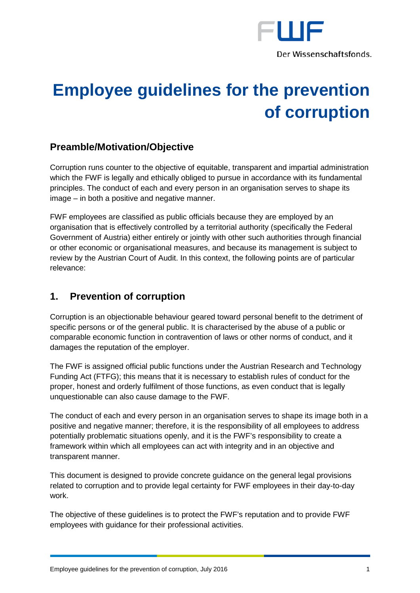

# **Employee guidelines for the prevention of corruption**

## **Preamble/Motivation/Objective**

Corruption runs counter to the objective of equitable, transparent and impartial administration which the FWF is legally and ethically obliged to pursue in accordance with its fundamental principles. The conduct of each and every person in an organisation serves to shape its image – in both a positive and negative manner.

FWF employees are classified as public officials because they are employed by an organisation that is effectively controlled by a territorial authority (specifically the Federal Government of Austria) either entirely or jointly with other such authorities through financial or other economic or organisational measures, and because its management is subject to review by the Austrian Court of Audit. In this context, the following points are of particular relevance:

## **1. Prevention of corruption**

Corruption is an objectionable behaviour geared toward personal benefit to the detriment of specific persons or of the general public. It is characterised by the abuse of a public or comparable economic function in contravention of laws or other norms of conduct, and it damages the reputation of the employer.

The FWF is assigned official public functions under the Austrian Research and Technology Funding Act (FTFG); this means that it is necessary to establish rules of conduct for the proper, honest and orderly fulfilment of those functions, as even conduct that is legally unquestionable can also cause damage to the FWF.

The conduct of each and every person in an organisation serves to shape its image both in a positive and negative manner; therefore, it is the responsibility of all employees to address potentially problematic situations openly, and it is the FWF's responsibility to create a framework within which all employees can act with integrity and in an objective and transparent manner.

This document is designed to provide concrete guidance on the general legal provisions related to corruption and to provide legal certainty for FWF employees in their day-to-day work.

The objective of these guidelines is to protect the FWF's reputation and to provide FWF employees with guidance for their professional activities.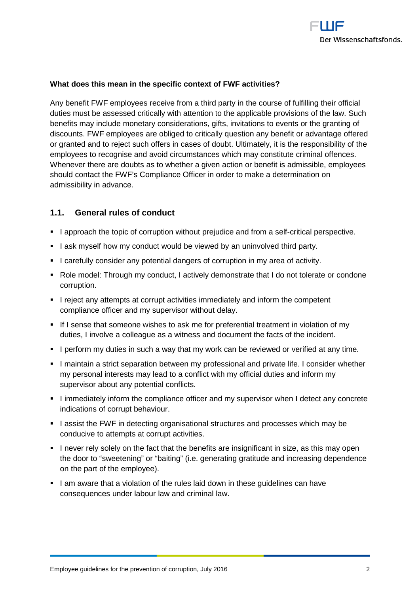

### **What does this mean in the specific context of FWF activities?**

Any benefit FWF employees receive from a third party in the course of fulfilling their official duties must be assessed critically with attention to the applicable provisions of the law. Such benefits may include monetary considerations, gifts, invitations to events or the granting of discounts. FWF employees are obliged to critically question any benefit or advantage offered or granted and to reject such offers in cases of doubt. Ultimately, it is the responsibility of the employees to recognise and avoid circumstances which may constitute criminal offences. Whenever there are doubts as to whether a given action or benefit is admissible, employees should contact the FWF's Compliance Officer in order to make a determination on admissibility in advance.

## **1.1. General rules of conduct**

- I approach the topic of corruption without prejudice and from a self-critical perspective.
- I ask myself how my conduct would be viewed by an uninvolved third party.
- I carefully consider any potential dangers of corruption in my area of activity.
- Role model: Through my conduct, I actively demonstrate that I do not tolerate or condone corruption.
- I reject any attempts at corrupt activities immediately and inform the competent compliance officer and my supervisor without delay.
- If I sense that someone wishes to ask me for preferential treatment in violation of my duties, I involve a colleague as a witness and document the facts of the incident.
- I perform my duties in such a way that my work can be reviewed or verified at any time.
- I maintain a strict separation between my professional and private life. I consider whether my personal interests may lead to a conflict with my official duties and inform my supervisor about any potential conflicts.
- I immediately inform the compliance officer and my supervisor when I detect any concrete indications of corrupt behaviour.
- I assist the FWF in detecting organisational structures and processes which may be conducive to attempts at corrupt activities.
- I never rely solely on the fact that the benefits are insignificant in size, as this may open the door to "sweetening" or "baiting" (i.e. generating gratitude and increasing dependence on the part of the employee).
- I am aware that a violation of the rules laid down in these quidelines can have consequences under labour law and criminal law.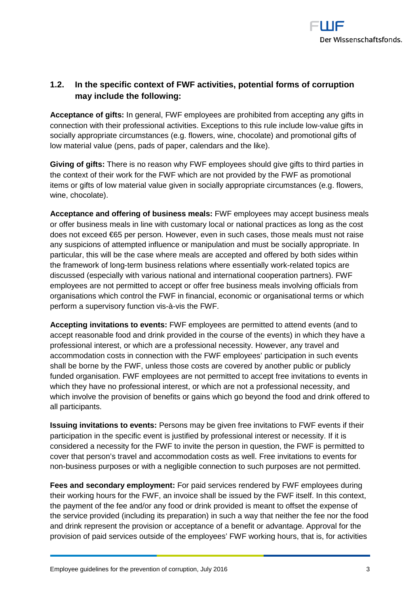

## **1.2. In the specific context of FWF activities, potential forms of corruption may include the following:**

**Acceptance of gifts:** In general, FWF employees are prohibited from accepting any gifts in connection with their professional activities. Exceptions to this rule include low-value gifts in socially appropriate circumstances (e.g. flowers, wine, chocolate) and promotional gifts of low material value (pens, pads of paper, calendars and the like).

**Giving of gifts:** There is no reason why FWF employees should give gifts to third parties in the context of their work for the FWF which are not provided by the FWF as promotional items or gifts of low material value given in socially appropriate circumstances (e.g. flowers, wine, chocolate).

**Acceptance and offering of business meals:** FWF employees may accept business meals or offer business meals in line with customary local or national practices as long as the cost does not exceed €65 per person. However, even in such cases, those meals must not raise any suspicions of attempted influence or manipulation and must be socially appropriate. In particular, this will be the case where meals are accepted and offered by both sides within the framework of long-term business relations where essentially work-related topics are discussed (especially with various national and international cooperation partners). FWF employees are not permitted to accept or offer free business meals involving officials from organisations which control the FWF in financial, economic or organisational terms or which perform a supervisory function vis-à-vis the FWF.

**Accepting invitations to events:** FWF employees are permitted to attend events (and to accept reasonable food and drink provided in the course of the events) in which they have a professional interest, or which are a professional necessity. However, any travel and accommodation costs in connection with the FWF employees' participation in such events shall be borne by the FWF, unless those costs are covered by another public or publicly funded organisation. FWF employees are not permitted to accept free invitations to events in which they have no professional interest, or which are not a professional necessity, and which involve the provision of benefits or gains which go beyond the food and drink offered to all participants.

**Issuing invitations to events:** Persons may be given free invitations to FWF events if their participation in the specific event is justified by professional interest or necessity. If it is considered a necessity for the FWF to invite the person in question, the FWF is permitted to cover that person's travel and accommodation costs as well. Free invitations to events for non-business purposes or with a negligible connection to such purposes are not permitted.

**Fees and secondary employment:** For paid services rendered by FWF employees during their working hours for the FWF, an invoice shall be issued by the FWF itself. In this context, the payment of the fee and/or any food or drink provided is meant to offset the expense of the service provided (including its preparation) in such a way that neither the fee nor the food and drink represent the provision or acceptance of a benefit or advantage. Approval for the provision of paid services outside of the employees' FWF working hours, that is, for activities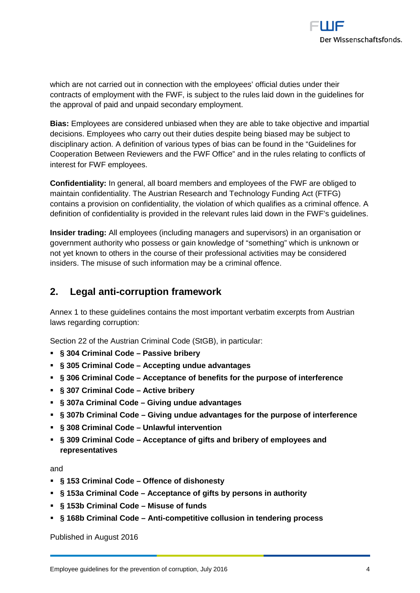

which are not carried out in connection with the employees' official duties under their contracts of employment with the FWF, is subject to the rules laid down in the guidelines for the approval of paid and unpaid secondary employment.

**Bias:** Employees are considered unbiased when they are able to take objective and impartial decisions. Employees who carry out their duties despite being biased may be subject to disciplinary action. A definition of various types of bias can be found in the "Guidelines for Cooperation Between Reviewers and the FWF Office" and in the rules relating to conflicts of interest for FWF employees.

**Confidentiality:** In general, all board members and employees of the FWF are obliged to maintain confidentiality. The Austrian Research and Technology Funding Act (FTFG) contains a provision on confidentiality, the violation of which qualifies as a criminal offence. A definition of confidentiality is provided in the relevant rules laid down in the FWF's guidelines.

**Insider trading:** All employees (including managers and supervisors) in an organisation or government authority who possess or gain knowledge of "something" which is unknown or not yet known to others in the course of their professional activities may be considered insiders. The misuse of such information may be a criminal offence.

## **2. Legal anti-corruption framework**

Annex 1 to these guidelines contains the most important verbatim excerpts from Austrian laws regarding corruption:

Section 22 of the Austrian Criminal Code (StGB), in particular:

- **§ 304 Criminal Code – Passive bribery**
- **§ 305 Criminal Code – Accepting undue advantages**
- **§ 306 Criminal Code – Acceptance of benefits for the purpose of interference**
- **§ 307 Criminal Code – Active bribery**
- **§ 307a Criminal Code – Giving undue advantages**
- **§ 307b Criminal Code – Giving undue advantages for the purpose of interference**
- **§ 308 Criminal Code – Unlawful intervention**
- **§ 309 Criminal Code – Acceptance of gifts and bribery of employees and representatives**

and

- **§ 153 Criminal Code – Offence of dishonesty**
- **§ 153a Criminal Code – Acceptance of gifts by persons in authority**
- **§ 153b Criminal Code – Misuse of funds**
- **§ 168b Criminal Code – Anti-competitive collusion in tendering process**

Published in August 2016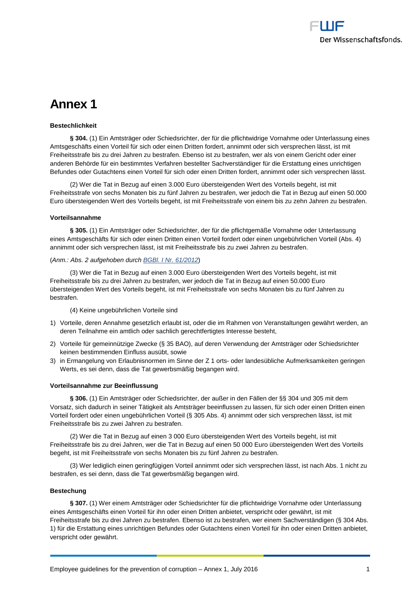## **Annex 1**

#### **Bestechlichkeit**

**§ 304.** (1) Ein Amtsträger oder Schiedsrichter, der für die pflichtwidrige Vornahme oder Unterlassung eines Amtsgeschäfts einen Vorteil für sich oder einen Dritten fordert, annimmt oder sich versprechen lässt, ist mit Freiheitsstrafe bis zu drei Jahren zu bestrafen. Ebenso ist zu bestrafen, wer als von einem Gericht oder einer anderen Behörde für ein bestimmtes Verfahren bestellter Sachverständiger für die Erstattung eines unrichtigen Befundes oder Gutachtens einen Vorteil für sich oder einen Dritten fordert, annimmt oder sich versprechen lässt.

(2) Wer die Tat in Bezug auf einen 3.000 Euro übersteigenden Wert des Vorteils begeht, ist mit Freiheitsstrafe von sechs Monaten bis zu fünf Jahren zu bestrafen, wer jedoch die Tat in Bezug auf einen 50.000 Euro übersteigenden Wert des Vorteils begeht, ist mit Freiheitsstrafe von einem bis zu zehn Jahren zu bestrafen.

#### **Vorteilsannahme**

**§ 305.** (1) Ein Amtsträger oder Schiedsrichter, der für die pflichtgemäße Vornahme oder Unterlassung eines Amtsgeschäfts für sich oder einen Dritten einen Vorteil fordert oder einen ungebührlichen Vorteil (Abs. 4) annimmt oder sich versprechen lässt, ist mit Freiheitsstrafe bis zu zwei Jahren zu bestrafen.

#### (*Anm.: Abs. 2 aufgehoben durch [BGBl. I Nr. 61/2012](https://www.ris.bka.gv.at/Dokument.wxe?Abfrage=BgblAuth&Dokumentnummer=BGBLA_2012_I_61)*)

(3) Wer die Tat in Bezug auf einen 3.000 Euro übersteigenden Wert des Vorteils begeht, ist mit Freiheitsstrafe bis zu drei Jahren zu bestrafen, wer jedoch die Tat in Bezug auf einen 50.000 Euro übersteigenden Wert des Vorteils begeht, ist mit Freiheitsstrafe von sechs Monaten bis zu fünf Jahren zu bestrafen.

(4) Keine ungebührlichen Vorteile sind

- 1) Vorteile, deren Annahme gesetzlich erlaubt ist, oder die im Rahmen von Veranstaltungen gewährt werden, an deren Teilnahme ein amtlich oder sachlich gerechtfertigtes Interesse besteht,
- 2) Vorteile für gemeinnützige Zwecke (§ 35 BAO), auf deren Verwendung der Amtsträger oder Schiedsrichter keinen bestimmenden Einfluss ausübt, sowie
- 3) in Ermangelung von Erlaubnisnormen im Sinne der Z 1 orts- oder landesübliche Aufmerksamkeiten geringen Werts, es sei denn, dass die Tat gewerbsmäßig begangen wird.

#### **Vorteilsannahme zur Beeinflussung**

**§ 306.** (1) Ein Amtsträger oder Schiedsrichter, der außer in den Fällen der §§ 304 und 305 mit dem Vorsatz, sich dadurch in seiner Tätigkeit als Amtsträger beeinflussen zu lassen, für sich oder einen Dritten einen Vorteil fordert oder einen ungebührlichen Vorteil (§ 305 Abs. 4) annimmt oder sich versprechen lässt, ist mit Freiheitsstrafe bis zu zwei Jahren zu bestrafen.

(2) Wer die Tat in Bezug auf einen 3 000 Euro übersteigenden Wert des Vorteils begeht, ist mit Freiheitsstrafe bis zu drei Jahren, wer die Tat in Bezug auf einen 50 000 Euro übersteigenden Wert des Vorteils begeht, ist mit Freiheitsstrafe von sechs Monaten bis zu fünf Jahren zu bestrafen.

(3) Wer lediglich einen geringfügigen Vorteil annimmt oder sich versprechen lässt, ist nach Abs. 1 nicht zu bestrafen, es sei denn, dass die Tat gewerbsmäßig begangen wird.

#### **Bestechung**

§ 307. (1) Wer einem Amtsträger oder Schiedsrichter für die pflichtwidrige Vornahme oder Unterlassung eines Amtsgeschäfts einen Vorteil für ihn oder einen Dritten anbietet, verspricht oder gewährt, ist mit Freiheitsstrafe bis zu drei Jahren zu bestrafen. Ebenso ist zu bestrafen, wer einem Sachverständigen (§ 304 Abs. 1) für die Erstattung eines unrichtigen Befundes oder Gutachtens einen Vorteil für ihn oder einen Dritten anbietet, verspricht oder gewährt.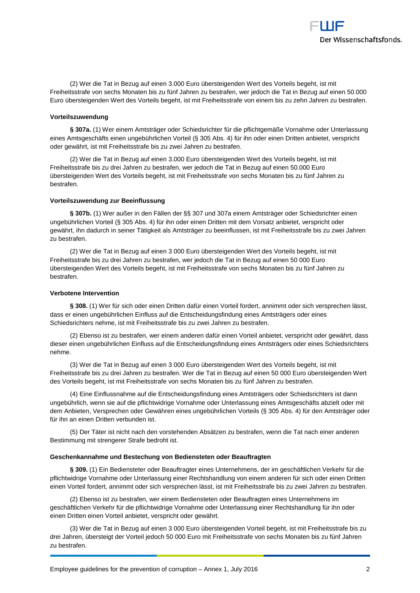

(2) Wer die Tat in Bezug auf einen 3.000 Euro übersteigenden Wert des Vorteils begeht, ist mit Freiheitsstrafe von sechs Monaten bis zu fünf Jahren zu bestrafen, wer jedoch die Tat in Bezug auf einen 50.000 Euro übersteigenden Wert des Vorteils begeht, ist mit Freiheitsstrafe von einem bis zu zehn Jahren zu bestrafen.

#### **Vorteilszuwendung**

**§ 307a.** (1) Wer einem Amtsträger oder Schiedsrichter für die pflichtgemäße Vornahme oder Unterlassung eines Amtsgeschäfts einen ungebührlichen Vorteil (§ 305 Abs. 4) für ihn oder einen Dritten anbietet, verspricht oder gewährt, ist mit Freiheitsstrafe bis zu zwei Jahren zu bestrafen.

(2) Wer die Tat in Bezug auf einen 3.000 Euro übersteigenden Wert des Vorteils begeht, ist mit Freiheitsstrafe bis zu drei Jahren zu bestrafen, wer jedoch die Tat in Bezug auf einen 50.000 Euro übersteigenden Wert des Vorteils begeht, ist mit Freiheitsstrafe von sechs Monaten bis zu fünf Jahren zu bestrafen.

#### **Vorteilszuwendung zur Beeinflussung**

**§ 307b.** (1) Wer außer in den Fällen der §§ 307 und 307a einem Amtsträger oder Schiedsrichter einen ungebührlichen Vorteil (§ 305 Abs. 4) für ihn oder einen Dritten mit dem Vorsatz anbietet, verspricht oder gewährt, ihn dadurch in seiner Tätigkeit als Amtsträger zu beeinflussen, ist mit Freiheitsstrafe bis zu zwei Jahren zu bestrafen.

(2) Wer die Tat in Bezug auf einen 3 000 Euro übersteigenden Wert des Vorteils begeht, ist mit Freiheitsstrafe bis zu drei Jahren zu bestrafen, wer jedoch die Tat in Bezug auf einen 50 000 Euro übersteigenden Wert des Vorteils begeht, ist mit Freiheitsstrafe von sechs Monaten bis zu fünf Jahren zu bestrafen.

#### **Verbotene Intervention**

**§ 308.** (1) Wer für sich oder einen Dritten dafür einen Vorteil fordert, annimmt oder sich versprechen lässt, dass er einen ungebührlichen Einfluss auf die Entscheidungsfindung eines Amtsträgers oder eines Schiedsrichters nehme, ist mit Freiheitsstrafe bis zu zwei Jahren zu bestrafen.

(2) Ebenso ist zu bestrafen, wer einem anderen dafür einen Vorteil anbietet, verspricht oder gewährt, dass dieser einen ungebührlichen Einfluss auf die Entscheidungsfindung eines Amtsträgers oder eines Schiedsrichters nehme.

(3) Wer die Tat in Bezug auf einen 3 000 Euro übersteigenden Wert des Vorteils begeht, ist mit Freiheitsstrafe bis zu drei Jahren zu bestrafen. Wer die Tat in Bezug auf einen 50 000 Euro übersteigenden Wert des Vorteils begeht, ist mit Freiheitsstrafe von sechs Monaten bis zu fünf Jahren zu bestrafen.

(4) Eine Einflussnahme auf die Entscheidungsfindung eines Amtsträgers oder Schiedsrichters ist dann ungebührlich, wenn sie auf die pflichtwidrige Vornahme oder Unterlassung eines Amtsgeschäfts abzielt oder mit dem Anbieten, Versprechen oder Gewähren eines ungebührlichen Vorteils (§ 305 Abs. 4) für den Amtsträger oder für ihn an einen Dritten verbunden ist.

(5) Der Täter ist nicht nach den vorstehenden Absätzen zu bestrafen, wenn die Tat nach einer anderen Bestimmung mit strengerer Strafe bedroht ist.

#### **Geschenkannahme und Bestechung von Bediensteten oder Beauftragten**

**§ 309.** (1) Ein Bediensteter oder Beauftragter eines Unternehmens, der im geschäftlichen Verkehr für die pflichtwidrige Vornahme oder Unterlassung einer Rechtshandlung von einem anderen für sich oder einen Dritten einen Vorteil fordert, annimmt oder sich versprechen lässt, ist mit Freiheitsstrafe bis zu zwei Jahren zu bestrafen.

(2) Ebenso ist zu bestrafen, wer einem Bediensteten oder Beauftragten eines Unternehmens im geschäftlichen Verkehr für die pflichtwidrige Vornahme oder Unterlassung einer Rechtshandlung für ihn oder einen Dritten einen Vorteil anbietet, verspricht oder gewährt.

(3) Wer die Tat in Bezug auf einen 3 000 Euro übersteigenden Vorteil begeht, ist mit Freiheitsstrafe bis zu drei Jahren, übersteigt der Vorteil jedoch 50 000 Euro mit Freiheitsstrafe von sechs Monaten bis zu fünf Jahren zu bestrafen.